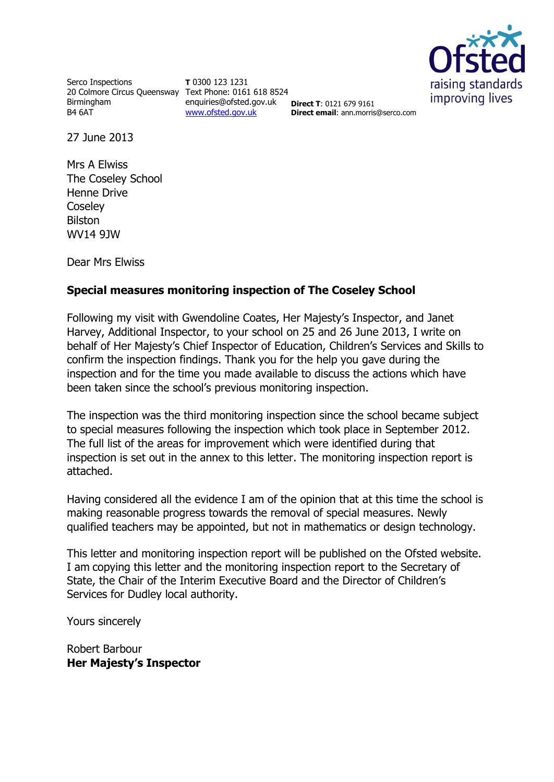

Serco Inspections 20 Colmore Circus Queensway Text Phone: 0161 618 8524 Birmingham B4 6AT

**T** 0300 123 1231 enquiries@ofsted.gov.uk [www.ofsted.gov.uk](http://www.ofsted.gov.uk/)

**Direct T**: 0121 679 9161 **Direct email:** ann.morris@serco.com

27 June 2013

Mrs A Elwiss The Coseley School Henne Drive **Coseley** Bilston WV14 9JW

Dear Mrs Elwiss

## **Special measures monitoring inspection of The Coseley School**

Following my visit with Gwendoline Coates, Her Majesty's Inspector, and Janet Harvey, Additional Inspector, to your school on 25 and 26 June 2013, I write on behalf of Her Majesty's Chief Inspector of Education, Children's Services and Skills to confirm the inspection findings. Thank you for the help you gave during the inspection and for the time you made available to discuss the actions which have been taken since the school's previous monitoring inspection.

The inspection was the third monitoring inspection since the school became subject to special measures following the inspection which took place in September 2012. The full list of the areas for improvement which were identified during that inspection is set out in the annex to this letter. The monitoring inspection report is attached.

Having considered all the evidence I am of the opinion that at this time the school is making reasonable progress towards the removal of special measures. Newly qualified teachers may be appointed, but not in mathematics or design technology.

This letter and monitoring inspection report will be published on the Ofsted website. I am copying this letter and the monitoring inspection report to the Secretary of State, the Chair of the Interim Executive Board and the Director of Children's Services for Dudley local authority.

Yours sincerely

Robert Barbour **Her Majesty's Inspector**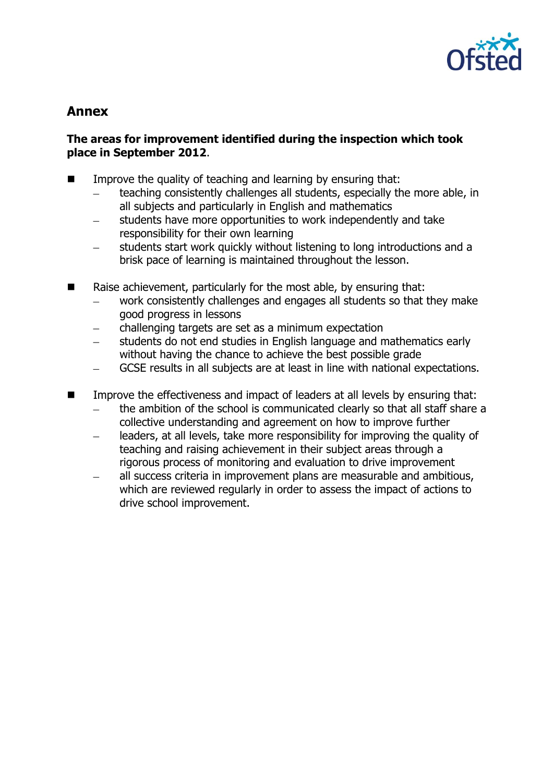

# **Annex**

## **The areas for improvement identified during the inspection which took place in September 2012**.

- $\blacksquare$  Improve the quality of teaching and learning by ensuring that:
	- teaching consistently challenges all students, especially the more able, in all subjects and particularly in English and mathematics
	- students have more opportunities to work independently and take responsibility for their own learning
	- students start work quickly without listening to long introductions and a brisk pace of learning is maintained throughout the lesson.
- $\blacksquare$  Raise achievement, particularly for the most able, by ensuring that:
	- work consistently challenges and engages all students so that they make good progress in lessons
	- challenging targets are set as a minimum expectation
	- students do not end studies in English language and mathematics early without having the chance to achieve the best possible grade
	- GCSE results in all subjects are at least in line with national expectations.
- Improve the effectiveness and impact of leaders at all levels by ensuring that:
	- the ambition of the school is communicated clearly so that all staff share a collective understanding and agreement on how to improve further
	- leaders, at all levels, take more responsibility for improving the quality of teaching and raising achievement in their subject areas through a rigorous process of monitoring and evaluation to drive improvement
	- all success criteria in improvement plans are measurable and ambitious, which are reviewed regularly in order to assess the impact of actions to drive school improvement.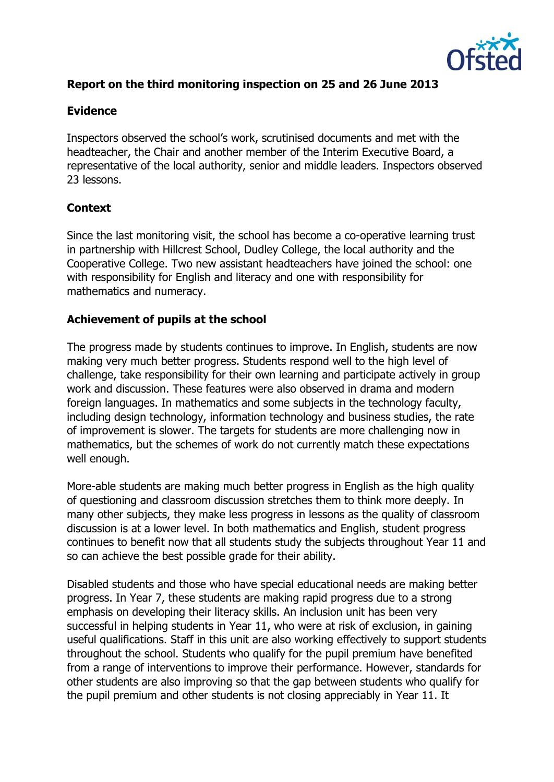

# **Report on the third monitoring inspection on 25 and 26 June 2013**

#### **Evidence**

Inspectors observed the school's work, scrutinised documents and met with the headteacher, the Chair and another member of the Interim Executive Board, a representative of the local authority, senior and middle leaders. Inspectors observed 23 lessons.

#### **Context**

Since the last monitoring visit, the school has become a co-operative learning trust in partnership with Hillcrest School, Dudley College, the local authority and the Cooperative College. Two new assistant headteachers have joined the school: one with responsibility for English and literacy and one with responsibility for mathematics and numeracy.

#### **Achievement of pupils at the school**

The progress made by students continues to improve. In English, students are now making very much better progress. Students respond well to the high level of challenge, take responsibility for their own learning and participate actively in group work and discussion. These features were also observed in drama and modern foreign languages. In mathematics and some subjects in the technology faculty, including design technology, information technology and business studies, the rate of improvement is slower. The targets for students are more challenging now in mathematics, but the schemes of work do not currently match these expectations well enough.

More-able students are making much better progress in English as the high quality of questioning and classroom discussion stretches them to think more deeply. In many other subjects, they make less progress in lessons as the quality of classroom discussion is at a lower level. In both mathematics and English, student progress continues to benefit now that all students study the subjects throughout Year 11 and so can achieve the best possible grade for their ability.

Disabled students and those who have special educational needs are making better progress. In Year 7, these students are making rapid progress due to a strong emphasis on developing their literacy skills. An inclusion unit has been very successful in helping students in Year 11, who were at risk of exclusion, in gaining useful qualifications. Staff in this unit are also working effectively to support students throughout the school. Students who qualify for the pupil premium have benefited from a range of interventions to improve their performance. However, standards for other students are also improving so that the gap between students who qualify for the pupil premium and other students is not closing appreciably in Year 11. It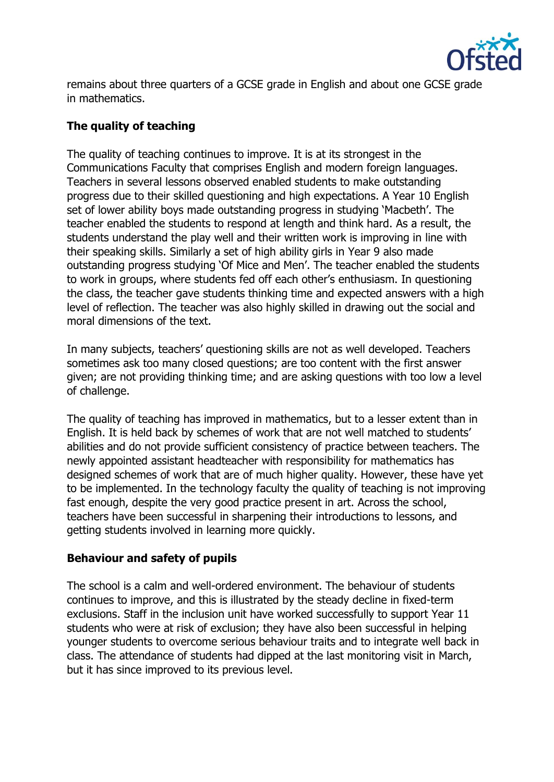

remains about three quarters of a GCSE grade in English and about one GCSE grade in mathematics.

## **The quality of teaching**

The quality of teaching continues to improve. It is at its strongest in the Communications Faculty that comprises English and modern foreign languages. Teachers in several lessons observed enabled students to make outstanding progress due to their skilled questioning and high expectations. A Year 10 English set of lower ability boys made outstanding progress in studying 'Macbeth'. The teacher enabled the students to respond at length and think hard. As a result, the students understand the play well and their written work is improving in line with their speaking skills. Similarly a set of high ability girls in Year 9 also made outstanding progress studying 'Of Mice and Men'. The teacher enabled the students to work in groups, where students fed off each other's enthusiasm. In questioning the class, the teacher gave students thinking time and expected answers with a high level of reflection. The teacher was also highly skilled in drawing out the social and moral dimensions of the text.

In many subjects, teachers' questioning skills are not as well developed. Teachers sometimes ask too many closed questions; are too content with the first answer given; are not providing thinking time; and are asking questions with too low a level of challenge.

The quality of teaching has improved in mathematics, but to a lesser extent than in English. It is held back by schemes of work that are not well matched to students' abilities and do not provide sufficient consistency of practice between teachers. The newly appointed assistant headteacher with responsibility for mathematics has designed schemes of work that are of much higher quality. However, these have yet to be implemented. In the technology faculty the quality of teaching is not improving fast enough, despite the very good practice present in art. Across the school, teachers have been successful in sharpening their introductions to lessons, and getting students involved in learning more quickly.

#### **Behaviour and safety of pupils**

The school is a calm and well-ordered environment. The behaviour of students continues to improve, and this is illustrated by the steady decline in fixed-term exclusions. Staff in the inclusion unit have worked successfully to support Year 11 students who were at risk of exclusion; they have also been successful in helping younger students to overcome serious behaviour traits and to integrate well back in class. The attendance of students had dipped at the last monitoring visit in March, but it has since improved to its previous level.